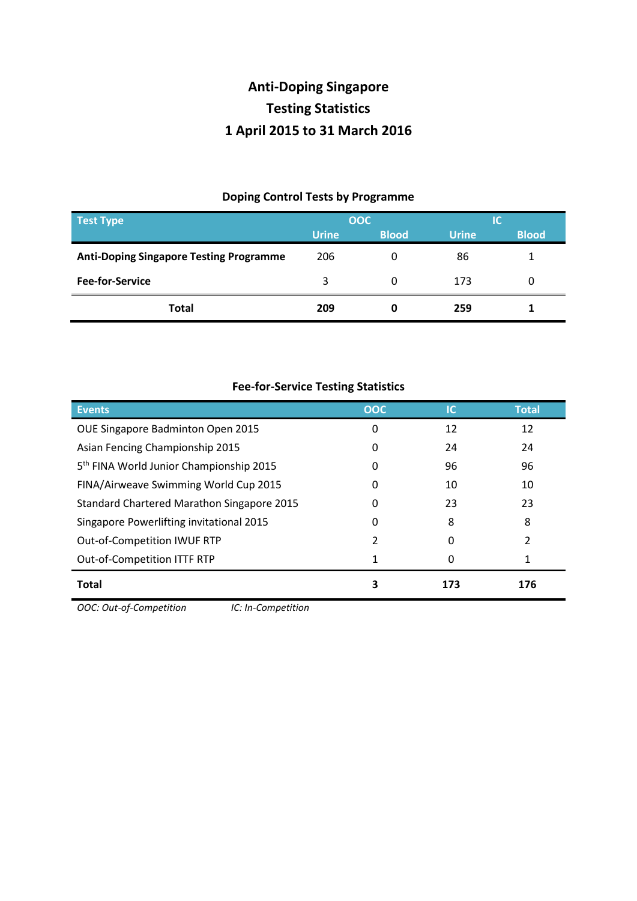## **Anti-Doping Singapore Testing Statistics 1 April 2015 to 31 March 2016**

## **Doping Control Tests by Programme**

| <b>Test Type</b>                               | OOC          |              | IС           |              |
|------------------------------------------------|--------------|--------------|--------------|--------------|
|                                                | <b>Urine</b> | <b>Blood</b> | <b>Urine</b> | <b>Blood</b> |
| <b>Anti-Doping Singapore Testing Programme</b> | 206          | 0            | 86           |              |
| <b>Fee-for-Service</b>                         | 3            | 0            | 173          |              |
| <b>Total</b>                                   | 209          | 0            | 259          |              |

| <b>Fee-for-Service Testing Statistics</b>           |              |     |              |  |  |
|-----------------------------------------------------|--------------|-----|--------------|--|--|
| <b>Events</b>                                       | <b>OOC</b>   | ТC  | <b>Total</b> |  |  |
| OUE Singapore Badminton Open 2015                   | 0            | 12  | 12           |  |  |
| Asian Fencing Championship 2015                     | $\mathbf{0}$ | 24  | 24           |  |  |
| 5 <sup>th</sup> FINA World Junior Championship 2015 | $\mathbf{0}$ | 96  | 96           |  |  |
| FINA/Airweave Swimming World Cup 2015               |              | 10  | 10           |  |  |
| <b>Standard Chartered Marathon Singapore 2015</b>   | 0            | 23  | 23           |  |  |
| Singapore Powerlifting invitational 2015            | $\mathbf{0}$ | 8   | 8            |  |  |
| Out-of-Competition IWUF RTP                         | 2            | O   |              |  |  |
| Out-of-Competition ITTF RTP                         |              |     |              |  |  |
| <b>Total</b>                                        | 3            | 173 | 176          |  |  |

*OOC: Out-of-Competition IC: In-Competition*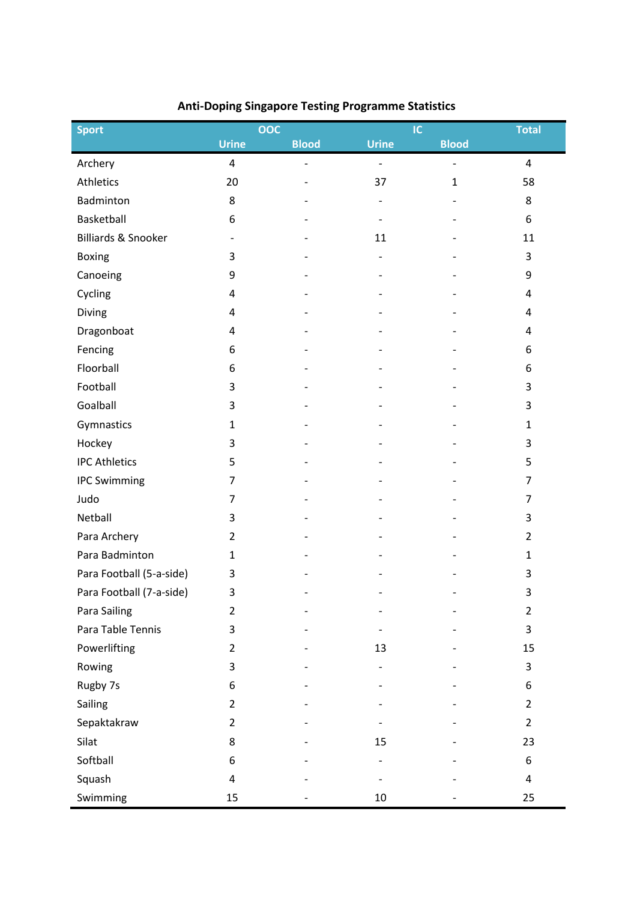| <b>Sport</b>                   |                          | OOC                      |                          | IC                       | <b>Total</b>   |
|--------------------------------|--------------------------|--------------------------|--------------------------|--------------------------|----------------|
|                                | <b>Urine</b>             | <b>Blood</b>             | <b>Urine</b>             | <b>Blood</b>             |                |
| Archery                        | $\pmb{4}$                | $\overline{\phantom{0}}$ | $\overline{\phantom{a}}$ | $\overline{\phantom{a}}$ | $\overline{4}$ |
| Athletics                      | 20                       |                          | 37                       | $\mathbf{1}$             | 58             |
| Badminton                      | 8                        |                          |                          |                          | 8              |
| Basketball                     | 6                        |                          |                          |                          | 6              |
| <b>Billiards &amp; Snooker</b> | $\overline{\phantom{a}}$ |                          | 11                       |                          | 11             |
| Boxing                         | 3                        |                          |                          |                          | 3              |
| Canoeing                       | 9                        |                          |                          |                          | 9              |
| Cycling                        | 4                        |                          |                          |                          | 4              |
| Diving                         | 4                        |                          |                          |                          | 4              |
| Dragonboat                     | 4                        |                          |                          |                          | 4              |
| Fencing                        | 6                        |                          |                          |                          | 6              |
| Floorball                      | 6                        |                          |                          |                          | 6              |
| Football                       | 3                        |                          |                          |                          | 3              |
| Goalball                       | 3                        |                          |                          |                          | 3              |
| Gymnastics                     | $\mathbf{1}$             |                          |                          |                          | $\mathbf{1}$   |
| Hockey                         | 3                        |                          |                          |                          | 3              |
| <b>IPC Athletics</b>           | 5                        |                          |                          |                          | 5              |
| <b>IPC Swimming</b>            | $\overline{7}$           |                          |                          |                          | $\overline{7}$ |
| Judo                           | 7                        |                          |                          |                          | 7              |
| Netball                        | 3                        |                          |                          |                          | 3              |
| Para Archery                   | $\overline{2}$           |                          |                          |                          | $\overline{2}$ |
| Para Badminton                 | $\mathbf{1}$             |                          |                          |                          | $\mathbf{1}$   |
| Para Football (5-a-side)       | 3                        |                          |                          |                          | 3              |
| Para Football (7-a-side)       | 3                        |                          |                          |                          | 3              |
| Para Sailing                   | $\overline{2}$           |                          |                          |                          | $\overline{2}$ |
| Para Table Tennis              | 3                        |                          |                          |                          | 3              |
| Powerlifting                   | $\overline{2}$           |                          | 13                       |                          | 15             |
| Rowing                         | 3                        |                          |                          |                          | 3              |
| Rugby 7s                       | 6                        |                          |                          |                          | 6              |
| Sailing                        | $\overline{2}$           |                          |                          |                          | $\overline{2}$ |
| Sepaktakraw                    | $\overline{2}$           |                          |                          |                          | $\overline{2}$ |
| Silat                          | 8                        |                          | 15                       |                          | 23             |
| Softball                       | 6                        |                          |                          |                          | 6              |
| Squash                         | 4                        |                          |                          |                          | 4              |
| Swimming                       | 15                       |                          | 10                       |                          | 25             |

## **Anti-Doping Singapore Testing Programme Statistics**